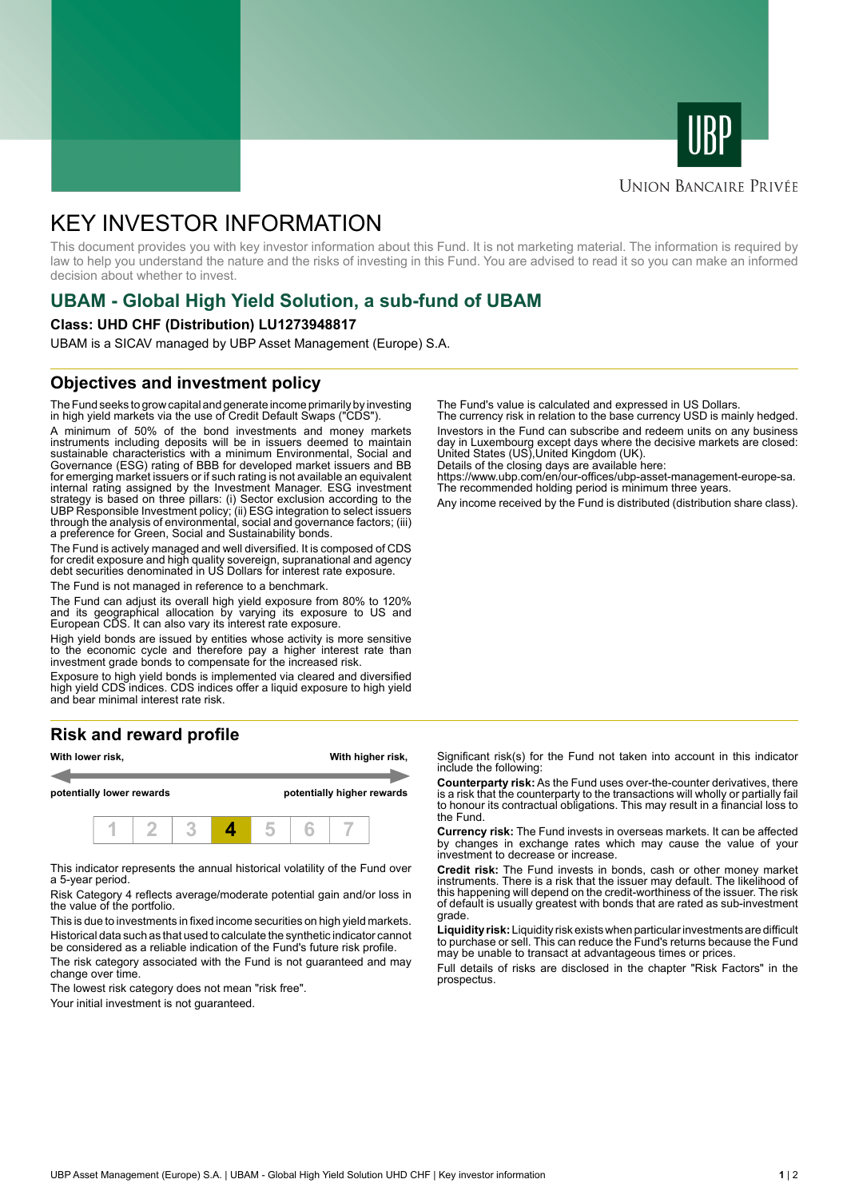



## **UNION BANCAIRE PRIVÉE**

# KEY INVESTOR INFORMATION

This document provides you with key investor information about this Fund. It is not marketing material. The information is required by law to help you understand the nature and the risks of investing in this Fund. You are advised to read it so you can make an informed decision about whether to invest.

# **UBAM - Global High Yield Solution, a sub-fund of UBAM**

#### **Class: UHD CHF (Distribution) LU1273948817**

UBAM is a SICAV managed by UBP Asset Management (Europe) S.A.

# **Objectives and investment policy**

The Fund seeks to grow capital and generate income primarily by investing in high yield markets via the use of Credit Default Swaps ("CDS").

A minimum of 50% of the bond investments and money markets instruments including deposits will be in issuers deemed to maintain sustainable characteristics with a minimum Environmental, Social and Governance (ESG) rating of BBB for developed market issuers and BB for emerging market issuers or if such rating is not available an equivalent internal rating assigned by the Investment Manager. ESG investment strategy is based on three pillars: (i) Sector exclusion according to the UBP Responsible Investment policy; (ii) ESG integration to select issuers through the analysis of environmental, social and governance factors; (iii) a preference for Green, Social and Sustainability bonds.

The Fund is actively managed and well diversified. It is composed of CDS for credit exposure and high quality sovereign, supranational and agency debt securities denominated in US Dollars for interest rate exposure.

The Fund is not managed in reference to a benchmark.

The Fund can adjust its overall high yield exposure from 80% to 120% and its geographical allocation by varying its exposure to US and European CDS. It can also vary its interest rate exposure.

High yield bonds are issued by entities whose activity is more sensitive to the economic cycle and therefore pay a higher interest rate than investment grade bonds to compensate for the increased risk.

Exposure to high yield bonds is implemented via cleared and diversified high yield CDS indices. CDS indices offer a liquid exposure to high yield and bear minimal interest rate risk.

# **Risk and reward profile**



This indicator represents the annual historical volatility of the Fund over a 5-year period.

Risk Category 4 reflects average/moderate potential gain and/or loss in the value of the portfolio.

This is due to investments in fixed income securities on high yield markets. Historical data such as that used to calculate the synthetic indicator cannot be considered as a reliable indication of the Fund's future risk profile. The risk category associated with the Fund is not guaranteed and may

change over time.

The lowest risk category does not mean "risk free".

Your initial investment is not guaranteed.

The Fund's value is calculated and expressed in US Dollars.

The currency risk in relation to the base currency USD is mainly hedged. Investors in the Fund can subscribe and redeem units on any business day in Luxembourg except days where the decisive markets are closed: United States (US),United Kingdom (UK).

Details of the closing days are available here: https://www.ubp.com/en/our-offices/ubp-asset-management-europe-sa.

The recommended holding period is minimum three years.

Any income received by the Fund is distributed (distribution share class).

Significant risk(s) for the Fund not taken into account in this indicator include the following:

**Counterparty risk:** As the Fund uses over-the-counter derivatives, there is a risk that the counterparty to the transactions will wholly or partially fail to honour its contractual obligations. This may result in a financial loss to the Fund.

**Currency risk:** The Fund invests in overseas markets. It can be affected by changes in exchange rates which may cause the value of your investment to decrease or increase.

**Credit risk:** The Fund invests in bonds, cash or other money market instruments. There is a risk that the issuer may default. The likelihood of this happening will depend on the credit-worthiness of the issuer. The risk of default is usually greatest with bonds that are rated as sub-investment grade.

**Liquidity risk:** Liquidity risk exists when particular investments are difficult to purchase or sell. This can reduce the Fund's returns because the Fund may be unable to transact at advantageous times or prices.

Full details of risks are disclosed in the chapter "Risk Factors" in the prospectus.